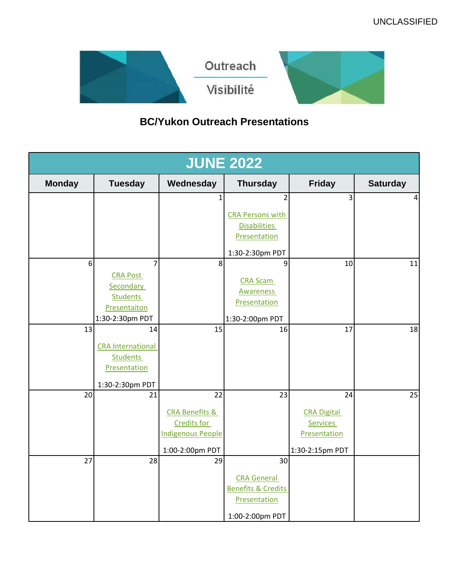

# **BC/Yukon Outreach Presentations**

| <b>JUNE 2022</b> |                                 |                           |                                                     |                    |                 |
|------------------|---------------------------------|---------------------------|-----------------------------------------------------|--------------------|-----------------|
| <b>Monday</b>    | <b>Tuesday</b>                  | Wednesday                 | <b>Thursday</b>                                     | <b>Friday</b>      | <b>Saturday</b> |
|                  |                                 |                           | 2                                                   | 3                  | 4               |
|                  |                                 |                           | <b>CRA Persons with</b>                             |                    |                 |
|                  |                                 |                           | <b>Disabilities</b><br>Presentation                 |                    |                 |
|                  |                                 |                           | 1:30-2:30pm PDT                                     |                    |                 |
| 6                | 7                               | 8                         | 9                                                   | 10                 | 11              |
|                  | <b>CRA Post</b><br>Secondary    |                           | <b>CRA Scam</b>                                     |                    |                 |
|                  | <b>Students</b>                 |                           | <b>Awareness</b><br>Presentation                    |                    |                 |
|                  | Presentaiton<br>1:30-2:30pm PDT |                           |                                                     |                    |                 |
| 13               | 14                              | 15                        | 1:30-2:00pm PDT<br>16                               | 17                 | 18              |
|                  | <b>CRA</b> International        |                           |                                                     |                    |                 |
|                  | <b>Students</b>                 |                           |                                                     |                    |                 |
|                  | Presentation                    |                           |                                                     |                    |                 |
| 20               | 1:30-2:30pm PDT<br>21           | 22                        | 23                                                  | 24                 | 25              |
|                  |                                 | <b>CRA Benefits &amp;</b> |                                                     | <b>CRA Digital</b> |                 |
|                  |                                 | <b>Credits for</b>        |                                                     | <b>Services</b>    |                 |
|                  |                                 | <b>Indigenous People</b>  |                                                     | Presentation       |                 |
|                  |                                 | 1:00-2:00pm PDT           |                                                     | 1:30-2:15pm PDT    |                 |
| 27               | 28                              | 29                        | 30                                                  |                    |                 |
|                  |                                 |                           | <b>CRA General</b><br><b>Benefits &amp; Credits</b> |                    |                 |
|                  |                                 |                           | Presentation                                        |                    |                 |
|                  |                                 |                           | 1:00-2:00pm PDT                                     |                    |                 |